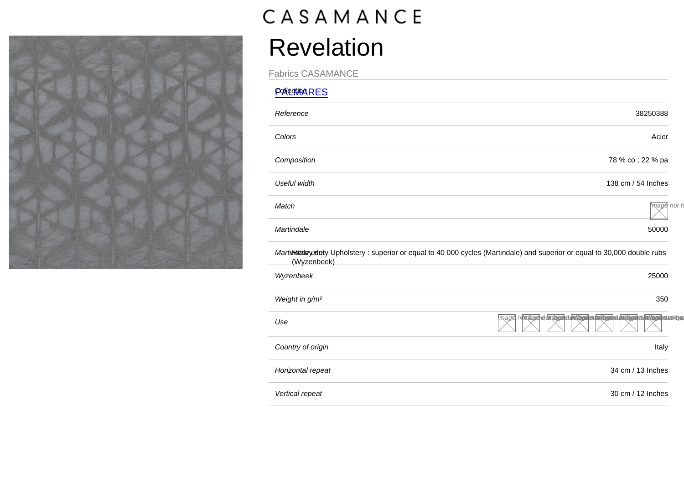## Revelation

Fabrics CASAMANCE

| <b>PONECTION RES</b>                                                                                                                      |                                                                                                      |
|-------------------------------------------------------------------------------------------------------------------------------------------|------------------------------------------------------------------------------------------------------|
| Reference                                                                                                                                 | 38250388                                                                                             |
| Colors                                                                                                                                    | Acier                                                                                                |
| Composition                                                                                                                               | 78 % co ; 22 % pa                                                                                    |
| Useful width                                                                                                                              | 138 cm / 54 Inches                                                                                   |
| Match                                                                                                                                     | mage not fo                                                                                          |
| Martindale                                                                                                                                | 50000                                                                                                |
| Martintual eyudety Upholstery: superior or equal to 40 000 cycles (Martindale) and superior or equal to 30,000 double rubs<br>(Wyzenbeek) |                                                                                                      |
| Wyzenbeek                                                                                                                                 | 25000                                                                                                |
| Weight in g/m <sup>2</sup>                                                                                                                | 350                                                                                                  |
| Use                                                                                                                                       | mage nottaget of ottaget de to the product of the top of the top of the top of the top of the top of |
| Country of origin                                                                                                                         | Italy                                                                                                |
| Horizontal repeat                                                                                                                         | 34 cm / 13 Inches                                                                                    |
| Vertical repeat                                                                                                                           | 30 cm / 12 Inches                                                                                    |